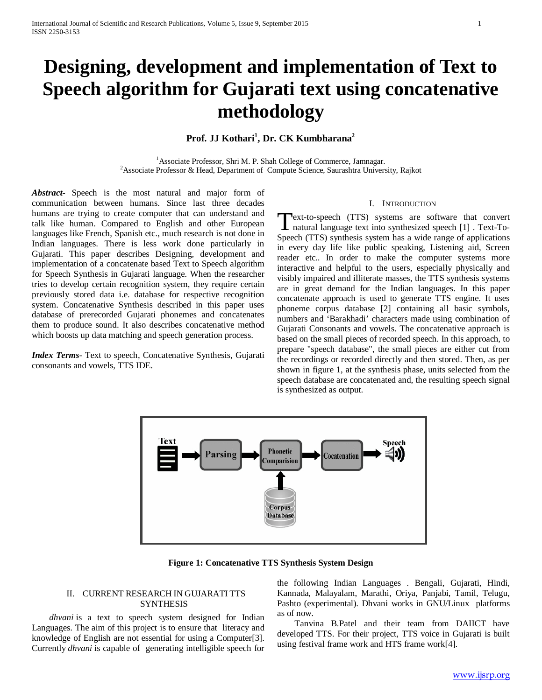# **Designing, development and implementation of Text to Speech algorithm for Gujarati text using concatenative methodology**

## **Prof. JJ Kothari1 , Dr. CK Kumbharana2**

<sup>1</sup> Associate Professor, Shri M. P. Shah College of Commerce, Jamnagar.<br><sup>2</sup> Associate Professor & Head, Department of Compute Science, Saurashtra Univers <sup>2</sup> Associate Professor & Head, Department of Compute Science, Saurashtra University, Rajkot

*Abstract***-** Speech is the most natural and major form of communication between humans. Since last three decades humans are trying to create computer that can understand and talk like human. Compared to English and other European languages like French, Spanish etc., much research is not done in Indian languages. There is less work done particularly in Gujarati. This paper describes Designing, development and implementation of a concatenate based Text to Speech algorithm for Speech Synthesis in Gujarati language. When the researcher tries to develop certain recognition system, they require certain previously stored data i.e. database for respective recognition system. Concatenative Synthesis described in this paper uses database of prerecorded Gujarati phonemes and concatenates them to produce sound. It also describes concatenative method which boosts up data matching and speech generation process.

*Index Terms*- Text to speech, Concatenative Synthesis, Gujarati consonants and vowels, TTS IDE.

#### I. INTRODUCTION

Text-to-speech (TTS) systems are software that convert Text-to-speech (TTS) systems are software that convert<br>
natural language text into synthesized speech [1]. Text-To-Speech (TTS) synthesis system has a wide range of applications in every day life like public speaking, Listening aid, Screen reader etc.. In order to make the computer systems more interactive and helpful to the users, especially physically and visibly impaired and illiterate masses, the TTS synthesis systems are in great demand for the Indian languages. In this paper concatenate approach is used to generate TTS engine. It uses phoneme corpus database [2] containing all basic symbols, numbers and 'Barakhadi' characters made using combination of Gujarati Consonants and vowels. The concatenative approach is based on the small pieces of recorded speech. In this approach, to prepare "speech database", the small pieces are either cut from the recordings or recorded directly and then stored. Then, as per shown in figure 1, at the synthesis phase, units selected from the speech database are concatenated and, the resulting speech signal is synthesized as output.



**Figure 1: Concatenative TTS Synthesis System Design**

#### II. CURRENT RESEARCH IN GUJARATI TTS SYNTHESIS

 *dhvani* is a text to speech system designed for Indian Languages. The aim of this project is to ensure that literacy and knowledge of English are not essential for using a Computer[3]. Currently *dhvani* is capable of generating intelligible speech for

the following Indian Languages . Bengali, Gujarati, Hindi, Kannada, Malayalam, Marathi, Oriya, Panjabi, Tamil, Telugu, Pashto (experimental). Dhvani works in GNU/Linux platforms as of now.

Tanvina B.Patel and their team from DAIICT have developed TTS. For their project, TTS voice in Gujarati is built using festival frame work and HTS frame work[4].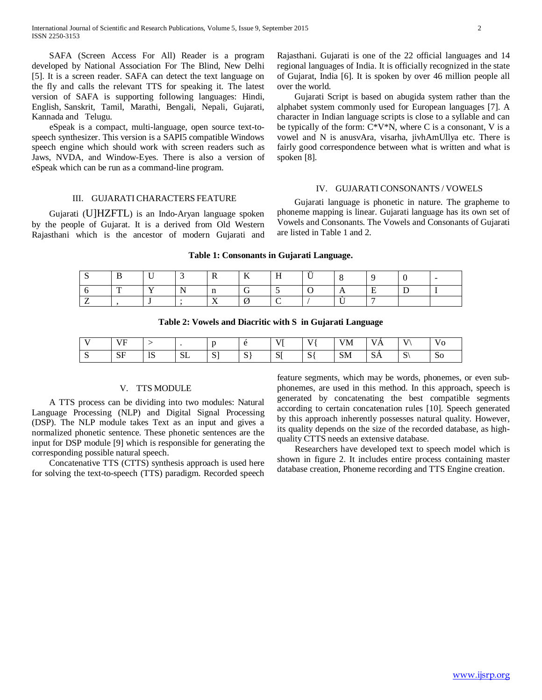SAFA (Screen Access For All) Reader is a program developed by National Association For The Blind, New Delhi [5]. It is a screen reader. SAFA can detect the text language on the fly and calls the relevant TTS for speaking it. The latest version of SAFA is supporting following languages: Hindi, English, Sanskrit, Tamil, Marathi, Bengali, Nepali, Gujarati, Kannada and Telugu.

eSpeak is a compact, multi-language, open source text-tospeech synthesizer. This version is a SAPI5 compatible Windows speech engine which should work with screen readers such as Jaws, NVDA, and Window-Eyes. There is also a version of eSpeak which can be run as a command-line program.

Rajasthani. Gujarati is one of the 22 official languages and 14 regional languages of India. It is officially recognized in the state of Gujarat, India [6]. It is spoken by over 46 million people all over the world.

Gujarati Script is based on abugida system rather than the alphabet system commonly used for European languages [7]. A character in Indian language scripts is close to a syllable and can be typically of the form:  $C*V*N$ , where C is a consonant, V is a vowel and N is anusvAra, visarha, jivhAmUllya etc. There is fairly good correspondence between what is written and what is spoken [8].

#### IV. GUJARATI CONSONANTS / VOWELS

### III. GUJARATI CHARACTERS FEATURE

Gujarati (U]HZFTL) is an Indo-Aryan language spoken by the people of Gujarat. It is a derived from Old Western Rajasthani which is the ancestor of modern Gujarati and

Gujarati language is phonetic in nature. The grapheme to phoneme mapping is linear. Gujarati language has its own set of Vowels and Consonants. The Vowels and Consonants of Gujarati are listed in Table 1 and 2.

|  |  | Table 1: Consonants in Gujarati Language. |          |  |  |
|--|--|-------------------------------------------|----------|--|--|
|  |  |                                           | $\cdots$ |  |  |

| ∼ |   | . .          |   | $\mathbf{r}$ | $\mathbf{r}$<br>1Y<br>$-$ | . . | . .<br>., |  | - |
|---|---|--------------|---|--------------|---------------------------|-----|-----------|--|---|
|   | m | $\mathbf{r}$ | N | $\cdot$ n    |                           |     |           |  |   |
|   |   |              |   | . .          |                           |     |           |  |   |

**Table 2: Vowels and Diacritic with S in Gujarati Language**

| $\mathbf{r}$ | VF<br>$\overline{\phantom{a}}$ |                      |                   |                    | Δ<br>ັ      | <b>TTP</b>       | T T          | <b>VM</b> | <b>TTA</b><br>v<br>$\Delta$ | $\mathbf{V}$  | $\mathbf{v}$<br>vо |
|--------------|--------------------------------|----------------------|-------------------|--------------------|-------------|------------------|--------------|-----------|-----------------------------|---------------|--------------------|
| ັ            | $\overline{\bf S}$<br>υı       | 1 <sup>C</sup><br>LJ | $\alpha$ T<br>ىلە | $\mathbf{C}$<br>ັບ | $\sim$<br>ມ | $\alpha$ r<br>ΝI | $\sim$<br>D. | <b>SM</b> | $\sim$<br>υA                | $\Omega$<br>ມ | 50                 |

#### V. TTS MODULE

A TTS process can be dividing into two modules: Natural Language Processing (NLP) and Digital Signal Processing (DSP). The NLP module takes Text as an input and gives a normalized phonetic sentence. These phonetic sentences are the input for DSP module [9] which is responsible for generating the corresponding possible natural speech.

Concatenative TTS (CTTS) synthesis approach is used here for solving the text-to-speech (TTS) paradigm. Recorded speech

feature segments, which may be words, phonemes, or even subphonemes, are used in this method. In this approach, speech is generated by concatenating the best compatible segments according to certain concatenation rules [10]. Speech generated by this approach inherently possesses natural quality. However, its quality depends on the size of the recorded database, as highquality CTTS needs an extensive database.

Researchers have developed text to speech model which is shown in figure 2. It includes entire process containing master database creation, Phoneme recording and TTS Engine creation.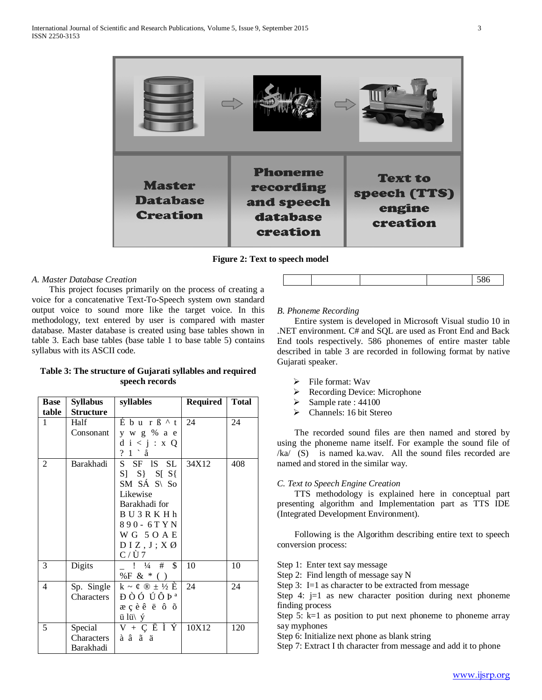

**Figure 2: Text to speech model**

#### *A. Master Database Creation*

 This project focuses primarily on the process of creating a voice for a concatenative Text-To-Speech system own standard output voice to sound more like the target voice. In this methodology, text entered by user is compared with master database. Master database is created using base tables shown in table 3. Each base tables (base table 1 to base table 5) contains syllabus with its ASCII code.

#### **Table 3: The structure of Gujarati syllables and required speech records**

| <b>Base</b> | <b>Syllabus</b>  | syllables                                        | <b>Required</b> | Total |
|-------------|------------------|--------------------------------------------------|-----------------|-------|
| table       | <b>Structure</b> |                                                  |                 |       |
| 1           | Half             | Éburß^t                                          | 24              | 24    |
|             | Consonant        | y w g % a e                                      |                 |       |
|             |                  | d i < j : x Q                                    |                 |       |
|             |                  | $? 1 \hat{a}$                                    |                 |       |
| 2           | Barakhadi        | S SF IS SL                                       | 34X12           | 408   |
|             |                  | $S$ $S$ $S$ $S$ $S$                              |                 |       |
|             |                  | SM SÁ S\ So                                      |                 |       |
|             |                  | Likewise                                         |                 |       |
|             |                  | Barakhadi for                                    |                 |       |
|             |                  | BU3RKHh                                          |                 |       |
|             |                  | 890 - 6T Y N                                     |                 |       |
|             |                  | WG 5OAE                                          |                 |       |
|             |                  | DIZ, J; XØ                                       |                 |       |
|             |                  | $C/\tilde{U}$ 7                                  |                 |       |
| 3           | Digits           | $! \frac{1}{4} \frac{4}{1} \frac{8}{5}$          | 10              | 10    |
|             |                  | %F & $*$ ( )                                     |                 |       |
| 4           | Sp. Single       | $k \sim \varrho \otimes \pm \frac{1}{2} \hat{E}$ | 24              | 24    |
|             | Characters       | ĐÒÓ ÚÔÞª                                         |                 |       |
|             |                  | æçèê ë ô õ                                       |                 |       |
|             |                  | $\ddot{u}$ lü $\ddot{y}$                         |                 |       |
| 5           | Special          | $V + C E \dot{I} \dot{Y}$                        | 10X12           | 120   |
|             | Characters       | àâãä                                             |                 |       |
|             | Barakhadi        |                                                  |                 |       |

## *B. Phoneme Recording*

 Entire system is developed in Microsoft Visual studio 10 in .NET environment. C# and SQL are used as Front End and Back End tools respectively. 586 phonemes of entire master table described in table 3 are recorded in following format by native Gujarati speaker.

- $\triangleright$  File format: Wav
- Recording Device: Microphone
- $\blacktriangleright$  Sample rate : 44100
- Channels: 16 bit Stereo

 The recorded sound files are then named and stored by using the phoneme name itself. For example the sound file of /ka/ (S) is named ka.wav. All the sound files recorded are named and stored in the similar way.

#### *C. Text to Speech Engine Creation*

 TTS methodology is explained here in conceptual part presenting algorithm and Implementation part as TTS IDE (Integrated Development Environment).

 Following is the Algorithm describing entire text to speech conversion process:

Step 1: Enter text say message

Step 2: Find length of message say N

Step 3: I=1 as character to be extracted from message

Step 4: j=1 as new character position during next phoneme finding process

Step 5:  $k=1$  as position to put next phoneme to phoneme array say myphones

Step 6: Initialize next phone as blank string

Step 7: Extract I th character from message and add it to phone

586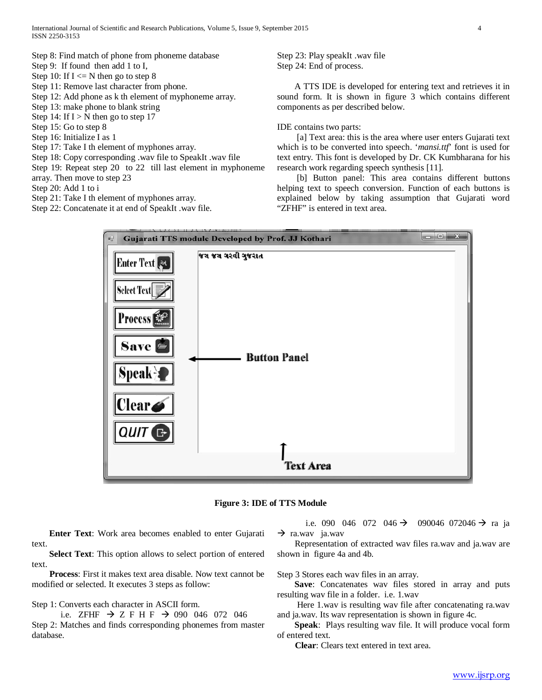- Step 8: Find match of phone from phoneme database
- Step 9: If found then add 1 to I,
- Step 10: If  $I \le N$  then go to step 8
- Step 11: Remove last character from phone.
- Step 12: Add phone as k th element of myphoneme array.
- Step 13: make phone to blank string
- Step 14: If  $I > N$  then go to step 17
- Step 15: Go to step 8
- Step 16: Initialize I as 1
- Step 17: Take I th element of myphones array.
- Step 18: Copy corresponding .wav file to SpeakIt .wav file
- Step 19: Repeat step 20 to 22 till last element in myphoneme
- array. Then move to step 23
- Step 20: Add 1 to i
- Step 21: Take I th element of myphones array.
- Step 22: Concatenate it at end of SpeakIt .wav file.

Step 23: Play speakIt .wav file Step 24: End of process.

 A TTS IDE is developed for entering text and retrieves it in sound form. It is shown in figure 3 which contains different components as per described below.

IDE contains two parts:

[a] Text area: this is the area where user enters Gujarati text which is to be converted into speech. '*mansi.ttf*' font is used for text entry. This font is developed by Dr. CK Kumbharana for his research work regarding speech synthesis [11].

 [b] Button panel: This area contains different buttons helping text to speech conversion. Function of each buttons is explained below by taking assumption that Gujarati word "ZFHF" is entered in text area.





 **Enter Text**: Work area becomes enabled to enter Gujarati text.

 **Select Text**: This option allows to select portion of entered text.

 **Process**: First it makes text area disable. Now text cannot be modified or selected. It executes 3 steps as follow:

Step 1: Converts each character in ASCII form.

i.e. ZFHF  $\rightarrow$  Z F H F  $\rightarrow$  090 046 072 046 Step 2: Matches and finds corresponding phonemes from master database.

i.e. 090 046 072 046  $\rightarrow$  090046 072046  $\rightarrow$  ra ja  $\rightarrow$  ra.wav ja.wav

 Representation of extracted wav files ra.wav and ja.wav are shown in figure 4a and 4b.

Step 3 Stores each wav files in an array.

 **Save**: Concatenates wav files stored in array and puts resulting wav file in a folder. i.e. 1.wav

 Here 1.wav is resulting wav file after concatenating ra.wav and ja.wav. Its wav representation is shown in figure 4c.

 **Speak**: Plays resulting wav file. It will produce vocal form of entered text.

**Clear**: Clears text entered in text area.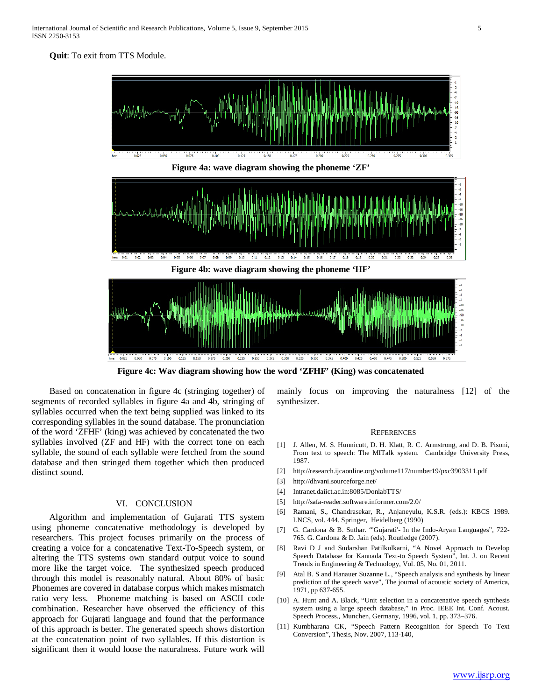**Quit**: To exit from TTS Module.



**Figure 4c: Wav diagram showing how the word 'ZFHF' (King) was concatenated**

 Based on concatenation in figure 4c (stringing together) of segments of recorded syllables in figure 4a and 4b, stringing of syllables occurred when the text being supplied was linked to its corresponding syllables in the sound database. The pronunciation of the word 'ZFHF' (king) was achieved by concatenated the two syllables involved (ZF and HF) with the correct tone on each syllable, the sound of each syllable were fetched from the sound database and then stringed them together which then produced distinct sound.

#### VI. CONCLUSION

 Algorithm and implementation of Gujarati TTS system using phoneme concatenative methodology is developed by researchers. This project focuses primarily on the process of creating a voice for a concatenative Text-To-Speech system, or altering the TTS systems own standard output voice to sound more like the target voice. The synthesized speech produced through this model is reasonably natural. About 80% of basic Phonemes are covered in database corpus which makes mismatch ratio very less. Phoneme matching is based on ASCII code combination. Researcher have observed the efficiency of this approach for Gujarati language and found that the performance of this approach is better. The generated speech shows distortion at the concatenation point of two syllables. If this distortion is significant then it would loose the naturalness. Future work will

mainly focus on improving the naturalness [12] of the synthesizer.

#### **REFERENCES**

- [1] J. Allen, M. S. Hunnicutt, D. H. Klatt, R. C. Armstrong, and D. B. Pisoni, From text to speech: The MITalk system. Cambridge University Press, 1987.
- [2] http://research.ijcaonline.org/volume117/number19/pxc3903311.pdf
- [3] http://dhvani.sourceforge.net/
- [4] Intranet.daiict.ac.in:8085/DonlabTTS/
- [5] http://safa-reader.software.informer.com/2.0/
- [6] Ramani, S., Chandrasekar, R., Anjaneyulu, K.S.R. (eds.): KBCS 1989. LNCS, vol. 444. Springer, Heidelberg (1990)
- [7] G. Cardona & B. Suthar. "'Gujarati'- In the Indo-Aryan Languages", 722- 765. G. Cardona & D. Jain (eds). Routledge (2007).
- [8] Ravi D J and Sudarshan Patilkulkarni, "A Novel Approach to Develop Speech Database for Kannada Text-to Speech System", Int. J. on Recent Trends in Engineering & Technology, Vol. 05, No. 01, 2011.
- [9] Atal B. S and Hanauer Suzanne L., "Speech analysis and synthesis by linear prediction of the speech wave", The journal of acoustic society of America, 1971, pp 637-655.
- [10] A. Hunt and A. Black, "Unit selection in a concatenative speech synthesis system using a large speech database," in Proc. IEEE Int. Conf. Acoust. Speech Process., Munchen, Germany, 1996, vol. 1, pp. 373–376.
- [11] Kumbharana CK, "Speech Pattern Recognition for Speech To Text Conversion", Thesis, Nov. 2007, 113-140,